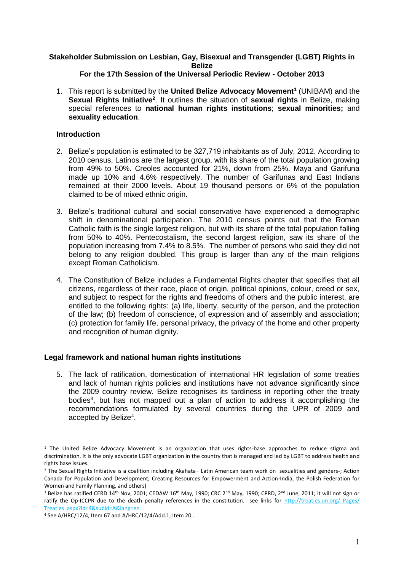# **Stakeholder Submission on Lesbian, Gay, Bisexual and Transgender (LGBT) Rights in Belize**

## **For the 17th Session of the Universal Periodic Review - October 2013**

1. This report is submitted by the **United Belize Advocacy Movement<sup>1</sup>** (UNIBAM) and the Sexual Rights Initiative<sup>2</sup>. It outlines the situation of sexual rights in Belize, making special references to **national human rights institutions**; **sexual minorities;** and **sexuality education**.

## **Introduction**

- 2. Belize's population is estimated to be 327,719 inhabitants as of July, 2012. According to 2010 census, Latinos are the largest group, with its share of the total population growing from 49% to 50%. Creoles accounted for 21%, down from 25%. Maya and Garifuna made up 10% and 4.6% respectively. The number of Garifunas and East Indians remained at their 2000 levels. About 19 thousand persons or 6% of the population claimed to be of mixed ethnic origin.
- 3. Belize's traditional cultural and social conservative have experienced a demographic shift in denominational participation. The 2010 census points out that the Roman Catholic faith is the single largest religion, but with its share of the total population falling from 50% to 40%. Pentecostalism, the second largest religion, saw its share of the population increasing from 7.4% to 8.5%. The number of persons who said they did not belong to any religion doubled. This group is larger than any of the main religions except Roman Catholicism.
- 4. The Constitution of Belize includes a Fundamental Rights chapter that specifies that all citizens, regardless of their race, place of origin, political opinions, colour, creed or sex, and subject to respect for the rights and freedoms of others and the public interest, are entitled to the following rights: (a) life, liberty, security of the person, and the protection of the law; (b) freedom of conscience, of expression and of assembly and association; (c) protection for family life, personal privacy, the privacy of the home and other property and recognition of human dignity.

## **Legal framework and national human rights institutions**

5. The lack of ratification, domestication of international HR legislation of some treaties and lack of human rights policies and institutions have not advance significantly since the 2009 country review. Belize recognises its tardiness in reporting other the treaty bodies<sup>3</sup>, but has not mapped out a plan of action to address it accomplishing the recommendations formulated by several countries during the UPR of 2009 and accepted by Belize<sup>4</sup>.

 $\overline{a}$ 

 $1$  The United Belize Advocacy Movement is an organization that uses rights-base approaches to reduce stigma and discrimination. It is the only advocate LGBT organization in the country that is managed and led by LGBT to address health and rights base issues.

<sup>2</sup> The Sexual Rights Initiative is a coalition including Akahata– Latin American team work on sexualities and genders-; Action Canada for Population and Development; Creating Resources for Empowerment and Action-India, the Polish Federation for Women and Family Planning, and others)

<sup>&</sup>lt;sup>3</sup> Belize has ratified CERD 14<sup>th</sup> Nov, 2001; CEDAW 16<sup>th</sup> May, 1990; CRC 2<sup>nd</sup> May, 1990; CPRD, 2<sup>nd</sup> June, 2011; it will not sign or ratify the Op-ICCPR due to the death penalty references in the constitution. see links for<http://treaties.un.org/> Pages/ Treaties .aspx?id=4&subid=A&lang=en

<sup>4</sup> See A/HRC/12/4, Item 67 and A/HRC/12/4/Add.1, Item 20 .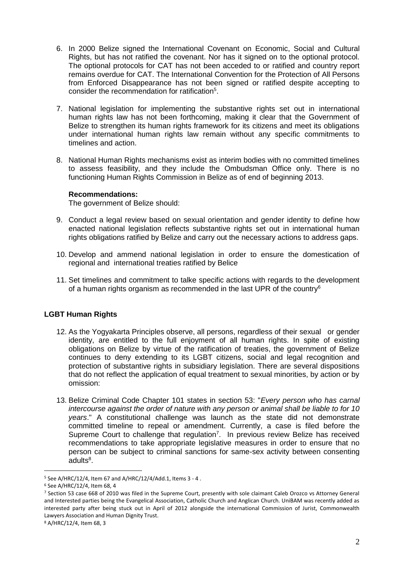- 6. In 2000 Belize signed the International Covenant on Economic, Social and Cultural Rights, but has not ratified the covenant. Nor has it signed on to the optional protocol. The optional protocols for CAT has not been acceded to or ratified and country report remains overdue for CAT. The International Convention for the Protection of All Persons from Enforced Disappearance has not been signed or ratified despite accepting to consider the recommendation for ratification<sup>5</sup>.
- 7. National legislation for implementing the substantive rights set out in international human rights law has not been forthcoming, making it clear that the Government of Belize to strengthen its human rights framework for its citizens and meet its obligations under international human rights law remain without any specific commitments to timelines and action.
- 8. National Human Rights mechanisms exist as interim bodies with no committed timelines to assess feasibility, and they include the Ombudsman Office only. There is no functioning Human Rights Commission in Belize as of end of beginning 2013.

#### **Recommendations:**

The government of Belize should:

- 9. Conduct a legal review based on sexual orientation and gender identity to define how enacted national legislation reflects substantive rights set out in international human rights obligations ratified by Belize and carry out the necessary actions to address gaps.
- 10. Develop and ammend national legislation in order to ensure the domestication of regional and international treaties ratified by Belice
- 11. Set timelines and commitment to talke specific actions with regards to the development of a human rights organism as recommended in the last UPR of the country $6$

## **LGBT Human Rights**

- 12. As the Yogyakarta Principles observe, all persons, regardless of their sexual or gender identity, are entitled to the full enjoyment of all human rights. In spite of existing obligations on Belize by virtue of the ratification of treaties, the government of Belize continues to deny extending to its LGBT citizens, social and legal recognition and protection of substantive rights in subsidiary legislation. There are several dispositions that do not reflect the application of equal treatment to sexual minorities, by action or by omission:
- 13. Belize Criminal Code Chapter 101 states in section 53: "*Every person who has carnal intercourse against the order of nature with any person or animal shall be liable to for 10 years*." A constitutional challenge was launch as the state did not demonstrate committed timeline to repeal or amendment. Currently, a case is filed before the Supreme Court to challenge that regulation<sup>7</sup>. In previous review Belize has received recommendations to take appropriate legislative measures in order to ensure that no person can be subject to criminal sanctions for same-sex activity between consenting adults<sup>8</sup>.

 $\overline{a}$ 

<sup>5</sup> See A/HRC/12/4, Item 67 and A/HRC/12/4/Add.1, Items 3 - 4 .

<sup>6</sup> See A/HRC/12/4, Item 68, 4

<sup>&</sup>lt;sup>7</sup> Section 53 case 668 of 2010 was filed in the Supreme Court, presently with sole claimant Caleb Orozco vs Attorney General and Interested parties being the Evangelical Association, Catholic Church and Anglican Church. UniBAM was recently added as interested party after being stuck out in April of 2012 alongside the international Commission of Jurist, Commonwealth Lawyers Association and Human Dignity Trust.

<sup>8</sup> A/HRC/12/4, Item 68, 3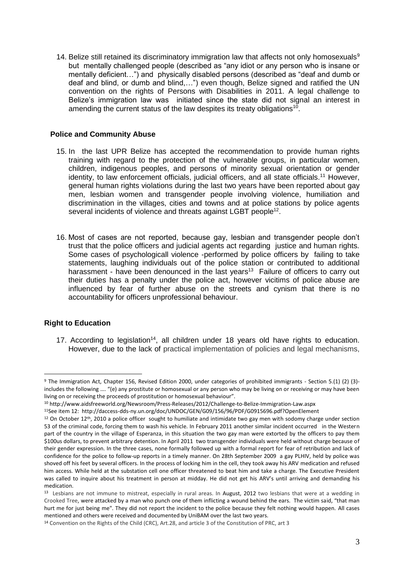14. Belize still retained its discriminatory immigration law that affects not only homosexuals<sup>9</sup> but mentally challenged people (described as "any idiot or any person who is insane or mentally deficient…") and physically disabled persons (described as "deaf and dumb or deaf and blind, or dumb and blind,…") even though, Belize signed and ratified the UN convention on the rights of Persons with Disabilities in 2011. A legal challenge to Belize's immigration law was initiated since the state did not signal an interest in amending the current status of the law despites its treaty obligations<sup>10</sup>.

### **Police and Community Abuse**

- 15. In the last UPR Belize has accepted the recommendation to provide human rights training with regard to the protection of the vulnerable groups, in particular women, children, indigenous peoples, and persons of minority sexual orientation or gender identity, to law enforcement officials, judicial officers, and all state officials.<sup>11</sup> However, general human rights violations during the last two years have been reported about gay men, lesbian women and transgender people involving violence, humiliation and discrimination in the villages, cities and towns and at police stations by police agents several incidents of violence and threats against LGBT people<sup>12</sup>.
- 16. Most of cases are not reported, because gay, lesbian and transgender people don't trust that the police officers and judicial agents act regarding justice and human rights. Some cases of psychologicall violence -performed by police officers by failing to take statements, laughing individuals out of the police station or contributed to additional harassment - have been denounced in the last years<sup>13</sup> Failure of officers to carry out their duties has a penalty under the police act, however vicitims of police abuse are influenced by fear of further abuse on the streets and cynism that there is no accountability for officers unprofessional behaviour.

## **Right to Education**

 $\overline{a}$ 

17. According to legislation<sup>14</sup>, all children under 18 years old have rights to education. However, due to the lack of practical implementation of policies and legal mechanisms,

<sup>9</sup> The Immigration Act, Chapter 156, Revised Edition 2000, under categories of prohibited immigrants - Section 5.(1) (2) (3) includes the following …. "(e) any prostitute or homosexual or any person who may be living on or receiving or may have been living on or receiving the proceeds of prostitution or homosexual behaviour".

<sup>10</sup> http://www.aidsfreeworld.org/Newsroom/Press-Releases/2012/Challenge-to-Belize-Immigration-Law.aspx

<sup>11</sup>See item 12: http://daccess-dds-ny.un.org/doc/UNDOC/GEN/G09/156/96/PDF/G0915696.pdf?OpenElement

 $12$  On October 12<sup>th</sup>, 2010 a police officer sought to humiliate and intimidate two gay men with sodomy charge under section 53 of the criminal code, forcing them to wash his vehicle. In February 2011 another similar incident occurred in the Western part of the country in the village of Esperanza, in this situation the two gay man were extorted by the officers to pay them \$100us dollars, to prevent arbitrary detention. In April 2011 two transgender individuals were held without charge because of their gender expression. In the three cases, none formally followed up with a formal report for fear of retribution and lack of confidence for the police to follow-up reports in a timely manner. On 28th September 2009 a gay PLHIV, held by police was shoved off his feet by several officers. In the process of locking him in the cell, they took away his ARV medication and refused him access. While held at the substation cell one officer threatened to beat him and take a charge. The Executive President was called to inquire about his treatment in person at midday. He did not get his ARV's until arriving and demanding his medication.

<sup>&</sup>lt;sup>13</sup> Lesbians are not immune to mistreat, especially in rural areas. In August, 2012 two lesbians that were at a wedding in Crooked Tree, were attacked by a man who punch one of them inflicting a wound behind the ears. The victim said, "that man hurt me for just being me". They did not report the incident to the police because they felt nothing would happen. All cases mentioned and others were received and documented by UniBAM over the last two years.

<sup>14</sup> Convention on the Rights of the Child (CRC), Art.28, and article 3 of the Constitution of PRC, art 3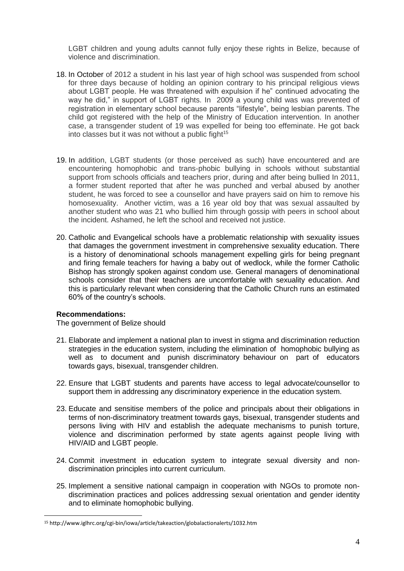LGBT children and young adults cannot fully enjoy these rights in Belize, because of violence and discrimination.

- 18. In October of 2012 a student in his last year of high school was suspended from school for three days because of holding an opinion contrary to his principal religious views about LGBT people. He was threatened with expulsion if he" continued advocating the way he did," in support of LGBT rights. In 2009 a young child was was prevented of registration in elementary school because parents "lifestyle", being lesbian parents. The child got registered with the help of the Ministry of Education intervention. In another case, a transgender student of 19 was expelled for being too effeminate. He got back into classes but it was not without a public fight<sup>15</sup>
- 19. In addition, LGBT students (or those perceived as such) have encountered and are encountering homophobic and trans-phobic bullying in schools without substantial support from schools officials and teachers prior, during and after being bullied In 2011, a former student reported that after he was punched and verbal abused by another student, he was forced to see a counsellor and have prayers said on him to remove his homosexuality. Another victim, was a 16 year old boy that was sexual assaulted by another student who was 21 who bullied him through gossip with peers in school about the incident. Ashamed, he left the school and received not justice.
- 20. Catholic and Evangelical schools have a problematic relationship with sexuality issues that damages the government investment in comprehensive sexuality education. There is a history of denominational schools management expelling girls for being pregnant and firing female teachers for having a baby out of wedlock, while the former Catholic Bishop has strongly spoken against condom use. General managers of denominational schools consider that their teachers are uncomfortable with sexuality education. And this is particularly relevant when considering that the Catholic Church runs an estimated 60% of the country's schools.

#### **Recommendations:**

 $\overline{a}$ 

The government of Belize should

- 21. Elaborate and implement a national plan to invest in stigma and discrimination reduction strategies in the education system, including the elimination of homophobic bullying as well as to document and punish discriminatory behaviour on part of educators towards gays, bisexual, transgender children.
- 22. Ensure that LGBT students and parents have access to legal advocate/counsellor to support them in addressing any discriminatory experience in the education system.
- 23. Educate and sensitise members of the police and principals about their obligations in terms of non-discriminatory treatment towards gays, bisexual, transgender students and persons living with HIV and establish the adequate mechanisms to punish torture, violence and discrimination performed by state agents against people living with HIV/AID and LGBT people.
- 24. Commit investment in education system to integrate sexual diversity and nondiscrimination principles into current curriculum.
- 25. Implement a sensitive national campaign in cooperation with NGOs to promote nondiscrimination practices and polices addressing sexual orientation and gender identity and to eliminate homophobic bullying.

<sup>15</sup> http://www.iglhrc.org/cgi-bin/iowa/article/takeaction/globalactionalerts/1032.htm